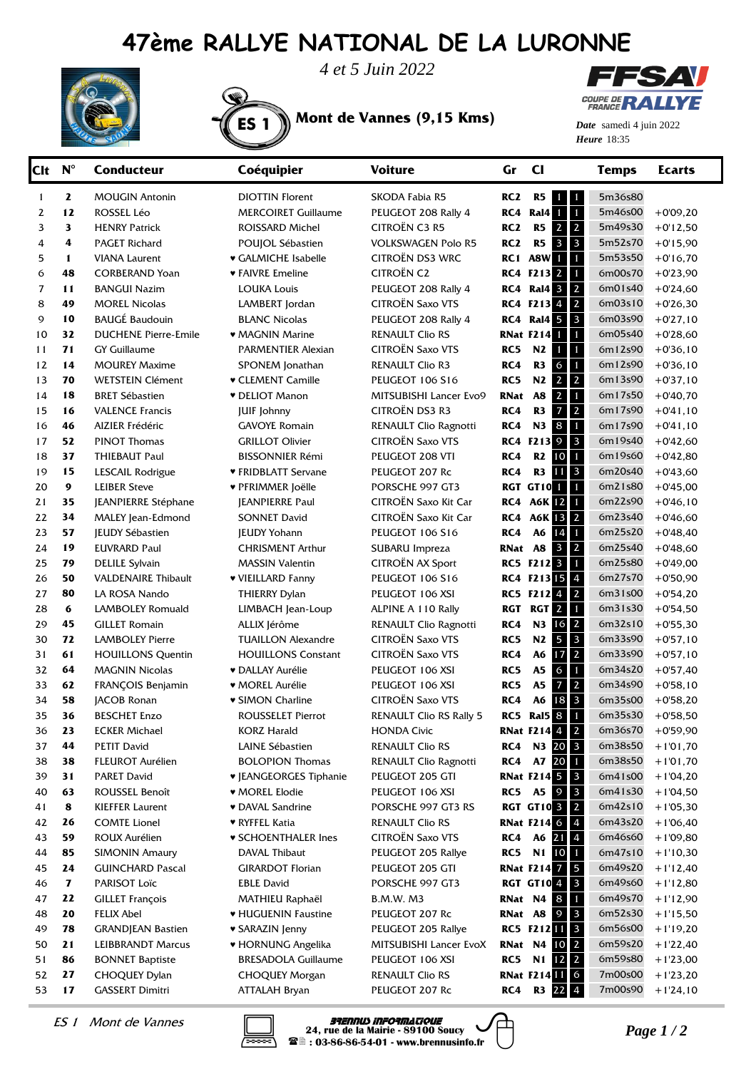## **47ème RALLYE NATIONAL DE LA LURONNE**



*4 et 5 Juin 2022*

ES 1 **Mont de Vannes (9,15 Kms)**



**Heure** 18:35 *Date* samedi 4 juin 2022

| Clt | $N^{\circ}$ | <b>Conducteur</b>           | Coéquipier                    | <b>Voiture</b>            | Gr              | $CI$                                                      | <b>Temps</b> | <b>Ecarts</b> |
|-----|-------------|-----------------------------|-------------------------------|---------------------------|-----------------|-----------------------------------------------------------|--------------|---------------|
| 1   | 2           | <b>MOUGIN Antonin</b>       | <b>DIOTTIN Florent</b>        | <b>SKODA Fabia R5</b>     | RC <sub>2</sub> | R <sub>5</sub><br>$\mathbf \Phi$<br>$\mathbf{1}$          | 5m36s80      |               |
| 2   | 12          | ROSSEL Léo                  | <b>MERCOIRET Guillaume</b>    | PEUGEOT 208 Rally 4       | RC4             | $\blacksquare$<br><b>Ral4</b>                             | 5m46s00      | $+0'09,20$    |
| 3   | 3           | <b>HENRY Patrick</b>        | <b>ROISSARD Michel</b>        | CITROËN C3 R5             | RC <sub>2</sub> | $\overline{2}$<br>R <sub>5</sub><br>$\overline{2}$        | 5m49s30      | $+0.12,50$    |
| 4   | 4           | <b>PAGET Richard</b>        | POUJOL Sébastien              | <b>VOLKSWAGEN Polo R5</b> | RC <sub>2</sub> | $\overline{\mathbf{3}}$<br>R <sub>5</sub><br>$\mathbf{3}$ | 5m52s70      | $+0.15,90$    |
| 5   | 1           | <b>VIANA Laurent</b>        | ♥ GALMICHE Isabelle           | CITROËN DS3 WRC           |                 | $\mathbf{1}$<br><b>RC1 A8W</b>                            | 5m53s50      | $+0.16, 70$   |
| 6   | 48          | <b>CORBERAND Yoan</b>       | ♥ FAIVRE Emeline              | <b>CITROËN C2</b>         |                 | <b>RC4 F213 2</b><br>$\mathbf{1}$                         | 6m00s70      | $+0'23,90$    |
| 7   | 11          | <b>BANGUI Nazim</b>         | <b>LOUKA Louis</b>            | PEUGEOT 208 Rally 4       | RC4             | $\overline{2}$<br><b>Ral4 3</b>                           | 6m01s40      | $+0'24,60$    |
| 8   | 49          | <b>MOREL Nicolas</b>        | LAMBERT Jordan                | <b>CITROËN Saxo VTS</b>   |                 | $\overline{2}$<br>RC4 F2134                               | 6m03s10      | $+0'26,30$    |
| 9   | 10          | <b>BAUGÉ Baudouin</b>       | <b>BLANC Nicolas</b>          | PEUGEOT 208 Rally 4       |                 | $\overline{\mathbf{3}}$<br><b>RC4 Ral4 5</b>              | 6m03s90      | $+0'27,10$    |
| 10  | 32          | <b>DUCHENE Pierre-Emile</b> | • MAGNIN Marine               | <b>RENAULT Clio RS</b>    |                 | $\mathbf{1}$<br>RNat F214 1                               | 6m05s40      | $+0'28,60$    |
| 11  | 71          | <b>GY Guillaume</b>         | PARMENTIER Alexian            | CITROËN Saxo VTS          | RC5             | N2<br>$\mathbf{1}$<br>$\blacksquare$                      | 6m12s90      | $+0'36,10$    |
| 12  | 14          | <b>MOUREY Maxime</b>        | SPONEM Jonathan               | <b>RENAULT Clio R3</b>    | RC4             | $\mathbf{1}$<br>R <sub>3</sub><br>6                       | 6m12s90      | $+0'36,10$    |
| 13  | 70          | <b>WETSTEIN Clément</b>     | <b>v</b> CLEMENT Camille      | <b>PEUGEOT 106 S16</b>    | RC5             | N2<br>$\overline{2}$<br>$\overline{2}$                    | 6m13s90      | $+0'37,10$    |
| 14  | 18          | <b>BRET Sébastien</b>       | <b>v</b> DELIOT Manon         | MITSUBISHI Lancer Evo9    | RNat            | A8<br>$\overline{2}$<br>$\mathbf{1}$                      | 6m17s50      | $+0'40,70$    |
| 15  | 16          | <b>VALENCE Francis</b>      | <b>JUIF Johnny</b>            | CITROËN DS3 R3            | RC4             | R <sub>3</sub><br>7<br>$\overline{2}$                     | 6m17s90      | $+0'41,10$    |
| 16  | 46          | AIZIER Frédéric             | <b>GAVOYE Romain</b>          | RENAULT Clio Ragnotti     | RC4             | $\bf8$<br>N <sub>3</sub><br>$\mathbf{1}$                  | 6m17s90      | $+0'41,10$    |
| 17  | 52          | <b>PINOT Thomas</b>         | <b>GRILLOT Olivier</b>        | CITROËN Saxo VTS          |                 | <b>RC4 F213 9</b><br>$\overline{\mathbf{3}}$              | 6m19s40      | $+0'42,60$    |
| 18  | 37          | THIEBAUT Paul               | <b>BISSONNIER Rémi</b>        | PEUGEOT 208 VTI           | RC4             | R2<br>$\blacksquare$<br>10                                | 6m19s60      | $+0'42,80$    |
| 19  | 15          | LESCAIL Rodrigue            | ♥ FRIDBLATT Servane           | PEUGEOT 207 Rc            | RC4             | R <sub>3</sub><br>$\overline{\mathbf{3}}$<br>11           | 6m20s40      | $+0'43,60$    |
| 20  | 9           | <b>LEIBER Steve</b>         | <b>v PFRIMMER Joëlle</b>      | PORSCHE 997 GT3           |                 | RGT GT101<br>$\mathbf{1}$                                 | 6m21s80      | $+0'45,00$    |
| 21  | 35          | JEANPIERRE Stéphane         | <b>JEANPIERRE Paul</b>        | CITROËN Saxo Kit Car      |                 | <b>RC4 A6K 12</b><br>$\blacksquare$                       | 6m22s90      | $+0'46,10$    |
| 22  | 34          | MALEY Jean-Edmond           | <b>SONNET David</b>           | CITROËN Saxo Kit Car      | RC4             | <b>A6K 13</b><br>$\overline{2}$                           | 6m23s40      | $+0'46,60$    |
| 23  | 57          | <b>JEUDY Sébastien</b>      | <b>JEUDY Yohann</b>           | PEUGEOT 106 S16           | RC4             | A6<br>14<br>$\blacksquare$                                | 6m25s20      | $+0'48,40$    |
| 24  | 19          | <b>EUVRARD Paul</b>         | <b>CHRISMENT Arthur</b>       | SUBARU Impreza            | RNat A8         | $\overline{2}$<br>$\overline{\mathbf{3}}$                 | 6m25s40      | $+0'48,60$    |
| 25  | 79          | <b>DELILE Sylvain</b>       | <b>MASSIN Valentin</b>        | <b>CITROËN AX Sport</b>   |                 | <b>RC5 F212 3</b><br>$\vert$ 1                            | 6m25s80      | $+0'49,00$    |
| 26  | 50          | <b>VALDENAIRE Thibault</b>  | ♥ VIEILLARD Fanny             | PEUGEOT 106 S16           |                 | RC4 F21315<br>$\overline{4}$                              | 6m27s70      | $+0'50,90$    |
| 27  | 80          | LA ROSA Nando               | THIERRY Dylan                 | PEUGEOT 106 XSI           |                 | RC5 F2124<br>$\overline{2}$                               | 6m31s00      | $+0'54,20$    |
| 28  | 6           | <b>LAMBOLEY Romuald</b>     | LIMBACH Jean-Loup             | ALPINE A 110 Rally        | <b>RGT</b>      | RGT <sub>2</sub><br>$\vert$ 1                             | 6m31s30      | $+0'54,50$    |
| 29  | 45          | <b>GILLET Romain</b>        | ALLIX Jérôme                  | RENAULT Clio Ragnotti     | RC4             | N3<br>$\overline{2}$<br>16                                | 6m32s10      | $+0'55,30$    |
| 30  | 72          | <b>LAMBOLEY Pierre</b>      | <b>TUAILLON Alexandre</b>     | <b>CITROËN Saxo VTS</b>   | RC5             | N2<br>5<br>$\overline{\mathbf{3}}$                        | 6m33s90      | $+0'57,10$    |
| 31  | 61          | <b>HOUILLONS Quentin</b>    | <b>HOUILLONS Constant</b>     | <b>CITROËN Saxo VTS</b>   | RC4             | $\overline{2}$<br>A6<br>17                                | 6m33s90      | $+0'57,10$    |
| 32  | 64          | <b>MAGNIN Nicolas</b>       | • DALLAY Aurélie              | PEUGEOT 106 XSI           | RC5             | A <sub>5</sub><br>$\sigma$<br>$\mathbf{1}$                | 6m34s20      | $+0'57,40$    |
| 33  | 62          | FRANÇOIS Benjamin           | ♥ MOREL Aurélie               | PEUGEOT 106 XSI           | RC5             | $\overline{2}$<br>A5<br>7                                 | 6m34s90      | $+0'58,10$    |
| 34  | 58          | JACOB Ronan                 | <b>v SIMON Charline</b>       | <b>CITROËN Saxo VTS</b>   | RC4             | 18 3<br>A6                                                | 6m35s00      | $+0'58,20$    |
| 35  | 36          | <b>BESCHET Enzo</b>         | ROUSSELET Pierrot             | RENAULT Clio RS Rally 5   | RC5             | Ral5 8 1                                                  | 6m35s30      | $+0'58,50$    |
| 36  | 23          | <b>ECKER Michael</b>        | <b>KORZ Harald</b>            | <b>HONDA Civic</b>        |                 | <b>RNat F214 4 2</b>                                      | 6m36s70      | $+0'59,90$    |
| 37  | 44          | <b>PETIT David</b>          | LAINE Sébastien               | RENAULT Clio RS           |                 | RC4 N3 20 3                                               | 6m38s50      | $+1'01,70$    |
| 38  | 38          | <b>FLEUROT Aurélien</b>     | <b>BOLOPION Thomas</b>        | RENAULT Clio Ragnotti     |                 | RC4 A7 20 1                                               | 6m38s50      | $+1'01,70$    |
| 39  | 31          | <b>PARET David</b>          | <b>v</b> JEANGEORGES Tiphanie | PEUGEOT 205 GTI           |                 | <b>RNat F214 5 3</b>                                      | 6m41s00      | $+1'04,20$    |
| 40  | 63          | ROUSSEL Benoît              | ♥ MOREL Elodie                | PEUGEOT 106 XSI           |                 | RC5 A5 9<br>$\overline{\mathbf{3}}$                       | 6m41s30      | $+1'04,50$    |
| 41  | 8           | <b>KIEFFER Laurent</b>      | <b>v</b> DAVAL Sandrine       | PORSCHE 997 GT3 RS        |                 | <b>RGT GT10 3 2</b>                                       | 6m42s10      | $+1'05,30$    |
| 42  | 26          | <b>COMTE Lionel</b>         | ♥ RYFFEL Katia                | <b>RENAULT Clio RS</b>    |                 | <b>RNat F214 6</b><br>$\overline{4}$                      | 6m43s20      | $+1'06,40$    |
| 43  | 59          | ROUX Aurélien               | <b>v SCHOENTHALER Ines</b>    | CITROËN Saxo VTS          |                 | RC4 A6 21 4                                               | 6m46s60      | $+1'09,80$    |
| 44  | 85          | <b>SIMONIN Amaury</b>       | DAVAL Thibaut                 | PEUGEOT 205 Rallye        |                 | RC5 N1 10 1                                               | 6m47s10      | $+1'10,30$    |
| 45  | 24          | <b>GUINCHARD Pascal</b>     | <b>GIRARDOT Florian</b>       | PEUGEOT 205 GTI           |                 | <b>RNat F214 7 5</b>                                      | 6m49s20      | $+1'12,40$    |
| 46  | 7           | PARISOT Loïc                | <b>EBLE David</b>             | PORSCHE 997 GT3           |                 | <b>RGT GT10 4 3</b>                                       | 6m49s60      | $+1'12,80$    |
| 47  | 22          | <b>GILLET François</b>      | MATHIEU Raphaël               | <b>B.M.W. M3</b>          |                 | RNat N4 8<br>$\blacksquare$                               | 6m49s70      | $+1'12,90$    |
| 48  | 20          | FELIX Abel                  | ♥ HUGUENIN Faustine           | PEUGEOT 207 Rc            | RNat A8         | $\overline{\mathbf{3}}$<br>9 <sup>°</sup>                 | 6m52s30      | $+1'15,50$    |
| 49  | 78          | GRANDJEAN Bastien           | ♥ SARAZIN Jenny               | PEUGEOT 205 Rallye        |                 | RC5 F212 11 3                                             | 6m56s00      | $+1'19,20$    |
| 50  | 21          | <b>LEIBBRANDT Marcus</b>    | ♥ HORNUNG Angelika            | MITSUBISHI Lancer EvoX    |                 | <b>RNat N4 10 2</b>                                       | 6m59s20      | $+1'22,40$    |
| 51  | 86          | <b>BONNET Baptiste</b>      | <b>BRESADOLA Guillaume</b>    | PEUGEOT 106 XSI           |                 | RC5 N1 12 2                                               | 6m59s80      | $+1'23,00$    |
| 52  | 27          | <b>CHOQUEY Dylan</b>        | CHOQUEY Morgan                | <b>RENAULT Clio RS</b>    |                 | <b>RNat F214 11 6</b>                                     | 7m00s00      | $+1'23,20$    |
| 53  | 17          | <b>GASSERT Dimitri</b>      | <b>ATTALAH Bryan</b>          | PEUGEOT 207 Rc            |                 | RC4 R3 22 4                                               | 7m00s90      | $+1'24,10$    |